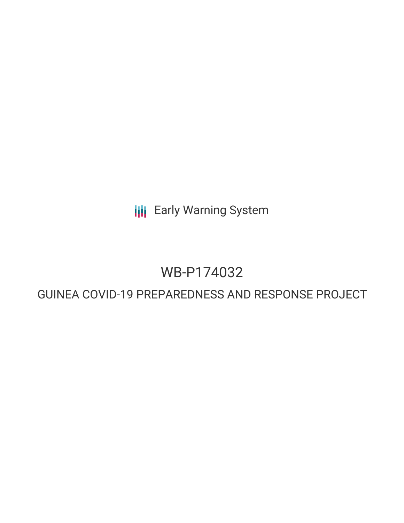**III** Early Warning System

### WB-P174032

### GUINEA COVID-19 PREPAREDNESS AND RESPONSE PROJECT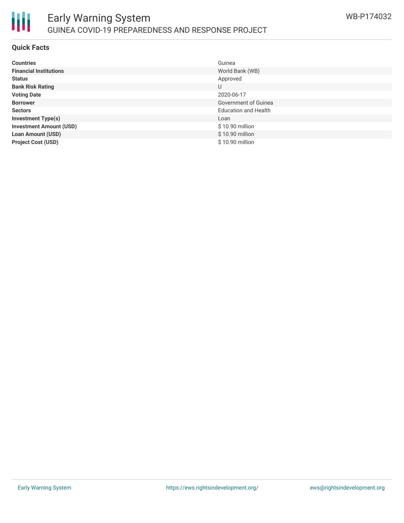

#### **Quick Facts**

| <b>Countries</b>               | Guinea                      |
|--------------------------------|-----------------------------|
| <b>Financial Institutions</b>  | World Bank (WB)             |
| <b>Status</b>                  | Approved                    |
| <b>Bank Risk Rating</b>        | U                           |
| <b>Voting Date</b>             | 2020-06-17                  |
| <b>Borrower</b>                | Government of Guinea        |
| <b>Sectors</b>                 | <b>Education and Health</b> |
| <b>Investment Type(s)</b>      | Loan                        |
| <b>Investment Amount (USD)</b> | \$10.90 million             |
| <b>Loan Amount (USD)</b>       | \$10.90 million             |
| <b>Project Cost (USD)</b>      | \$10.90 million             |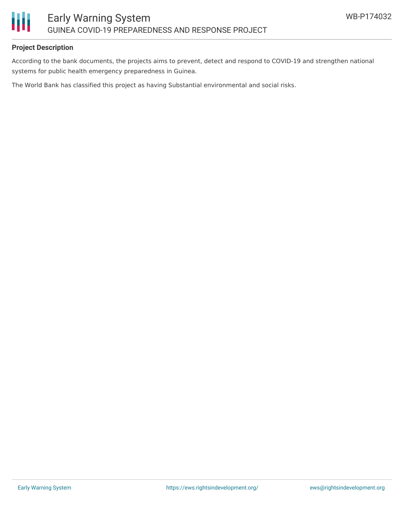

#### **Project Description**

According to the bank documents, the projects aims to prevent, detect and respond to COVID-19 and strengthen national systems for public health emergency preparedness in Guinea.

The World Bank has classified this project as having Substantial environmental and social risks.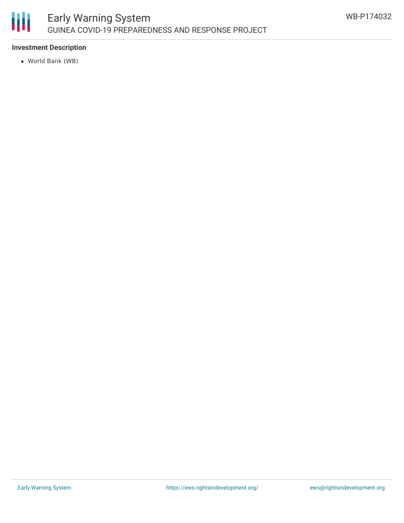

#### **Investment Description**

World Bank (WB)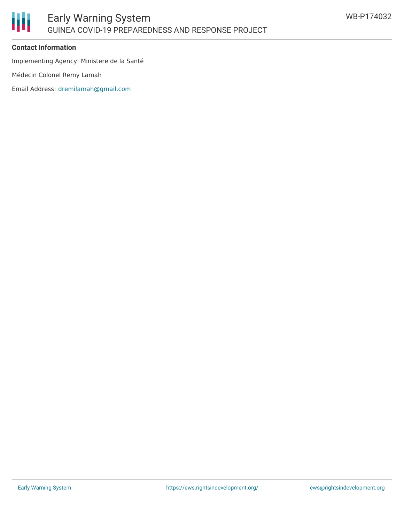

#### **Contact Information**

Implementing Agency: Ministere de la Santé

Médecin Colonel Remy Lamah

Email Address: [dremilamah@gmail.com](mailto:dremilamah@gmail.com)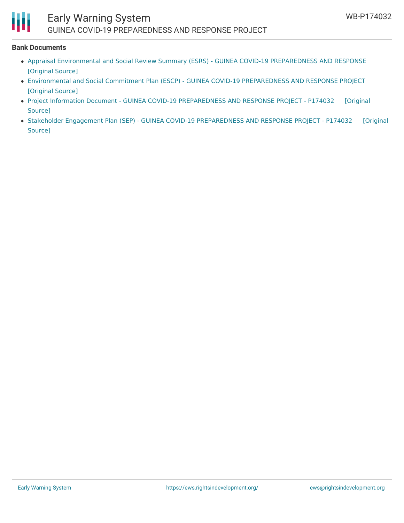## Ш

#### **Bank Documents**

- Appraisal Environmental and Social Review Summary (ESRS) GUINEA COVID-19 [PREPAREDNESS](https://ewsdata.rightsindevelopment.org/files/documents/32/WB-P174032.pdf) AND RESPONSE [\[Original](http://documents.worldbank.org/curated/en/568571591038221766/pdf/Appraisal-Environmental-and-Social-Review-Summary-ESRS-GUINEA-COVID-19-PREPAREDNESS-AND-RESPONSE-PROJECT-P174032.pdf) Source]
- Environmental and Social Commitment Plan (ESCP) GUINEA COVID-19 [PREPAREDNESS](https://ewsdata.rightsindevelopment.org/files/documents/32/WB-P174032_FYlPtwe.pdf) AND RESPONSE PROJECT [\[Original](http://documents.worldbank.org/curated/en/885801591038195024/pdf/Environmental-and-Social-Commitment-Plan-ESCP-GUINEA-COVID-19-PREPAREDNESS-AND-RESPONSE-PROJECT-P174032.pdf) Source]
- Project Information Document GUINEA COVID-19 [PREPAREDNESS](https://ewsdata.rightsindevelopment.org/files/documents/32/WB-P174032_GbTbhCP.pdf) AND RESPONSE PROJECT P174032 [Original Source]
- Stakeholder Engagement Plan (SEP) GUINEA COVID-19 [PREPAREDNESS](https://ewsdata.rightsindevelopment.org/files/documents/32/WB-P174032_2nrwDT5.pdf) AND RESPONSE PROJECT P174032 [Original Source]